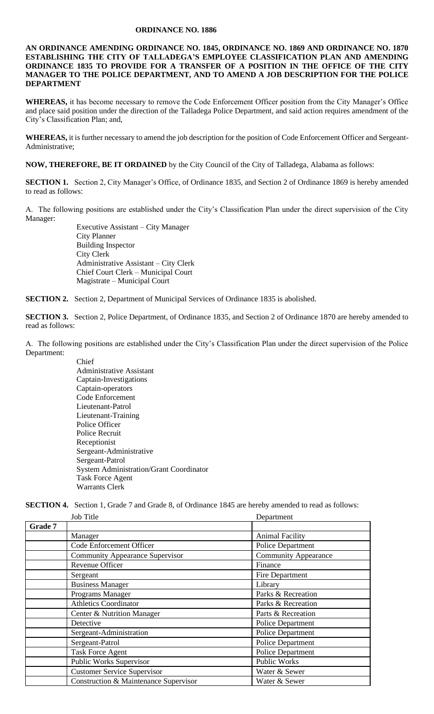## **ORDINANCE NO. 1886**

**AN ORDINANCE AMENDING ORDINANCE NO. 1845, ORDINANCE NO. 1869 AND ORDINANCE NO. 1870 ESTABLISHING THE CITY OF TALLADEGA'S EMPLOYEE CLASSIFICATION PLAN AND AMENDING ORDINANCE 1835 TO PROVIDE FOR A TRANSFER OF A POSITION IN THE OFFICE OF THE CITY MANAGER TO THE POLICE DEPARTMENT, AND TO AMEND A JOB DESCRIPTION FOR THE POLICE DEPARTMENT** 

**WHEREAS,** it has become necessary to remove the Code Enforcement Officer position from the City Manager's Office and place said position under the direction of the Talladega Police Department, and said action requires amendment of the City's Classification Plan; and,

**WHEREAS,** it is further necessary to amend the job description for the position of Code Enforcement Officer and Sergeant-Administrative;

**NOW, THEREFORE, BE IT ORDAINED** by the City Council of the City of Talladega, Alabama as follows:

**SECTION 1.** Section 2, City Manager's Office, of Ordinance 1835, and Section 2 of Ordinance 1869 is hereby amended to read as follows:

A. The following positions are established under the City's Classification Plan under the direct supervision of the City Manager:

> Executive Assistant – City Manager City Planner Building Inspector City Clerk Administrative Assistant – City Clerk Chief Court Clerk – Municipal Court Magistrate – Municipal Court

**SECTION 2.** Section 2, Department of Municipal Services of Ordinance 1835 is abolished.

**SECTION 3.** Section 2, Police Department, of Ordinance 1835, and Section 2 of Ordinance 1870 are hereby amended to read as follows:

A. The following positions are established under the City's Classification Plan under the direct supervision of the Police Department:

> Chief Administrative Assistant Captain-Investigations Captain-operators Code Enforcement Lieutenant-Patrol Lieutenant-Training Police Officer Police Recruit Receptionist Sergeant-Administrative Sergeant-Patrol System Administration/Grant Coordinator Task Force Agent Warrants Clerk

**SECTION 4.** Section 1, Grade 7 and Grade 8, of Ordinance 1845 are hereby amended to read as follows:

|         | <b>Job Title</b>                       | Department                  |
|---------|----------------------------------------|-----------------------------|
| Grade 7 |                                        |                             |
|         | Manager                                | <b>Animal Facility</b>      |
|         | Code Enforcement Officer               | Police Department           |
|         | <b>Community Appearance Supervisor</b> | <b>Community Appearance</b> |
|         | Revenue Officer                        | Finance                     |
|         | Sergeant                               | Fire Department             |
|         | <b>Business Manager</b>                | Library                     |
|         | Programs Manager                       | Parks & Recreation          |
|         | <b>Athletics Coordinator</b>           | Parks & Recreation          |
|         | Center & Nutrition Manager             | Parts & Recreation          |
|         | Detective                              | Police Department           |
|         | Sergeant-Administration                | <b>Police Department</b>    |
|         | Sergeant-Patrol                        | <b>Police Department</b>    |
|         | <b>Task Force Agent</b>                | <b>Police Department</b>    |
|         | Public Works Supervisor                | Public Works                |
|         | <b>Customer Service Supervisor</b>     | Water & Sewer               |
|         | Construction & Maintenance Supervisor  | Water & Sewer               |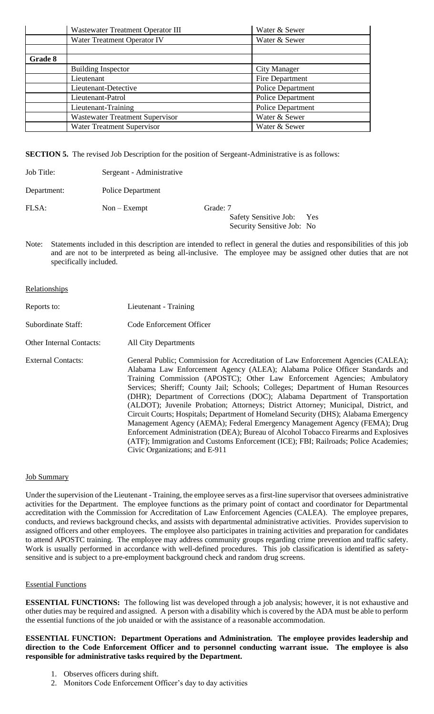|         | Wastewater Treatment Operator III      | Water & Sewer            |
|---------|----------------------------------------|--------------------------|
|         | Water Treatment Operator IV            | Water & Sewer            |
|         |                                        |                          |
| Grade 8 |                                        |                          |
|         | <b>Building Inspector</b>              | <b>City Manager</b>      |
|         | Lieutenant                             | Fire Department          |
|         | Lieutenant-Detective                   | <b>Police Department</b> |
|         | Lieutenant-Patrol                      | <b>Police Department</b> |
|         | Lieutenant-Training                    | <b>Police Department</b> |
|         | <b>Wastewater Treatment Supervisor</b> | Water & Sewer            |
|         | Water Treatment Supervisor             | Water & Sewer            |

**SECTION 5.** The revised Job Description for the position of Sergeant-Administrative is as follows:

- Job Title: Sergeant Administrative
- Department: Police Department

FLSA: Non-Exempt Grade: 7

Safety Sensitive Job: Yes Security Sensitive Job: No

Note: Statements included in this description are intended to reflect in general the duties and responsibilities of this job and are not to be interpreted as being all-inclusive. The employee may be assigned other duties that are not specifically included.

# **Relationships**

| Reports to:               | Lieutenant - Training                                                                                                                                                                                                                                                                                                                                                                                                                                                                                                                                                                                                                                                                                                                                                                                                                                                                        |
|---------------------------|----------------------------------------------------------------------------------------------------------------------------------------------------------------------------------------------------------------------------------------------------------------------------------------------------------------------------------------------------------------------------------------------------------------------------------------------------------------------------------------------------------------------------------------------------------------------------------------------------------------------------------------------------------------------------------------------------------------------------------------------------------------------------------------------------------------------------------------------------------------------------------------------|
| Subordinate Staff:        | Code Enforcement Officer                                                                                                                                                                                                                                                                                                                                                                                                                                                                                                                                                                                                                                                                                                                                                                                                                                                                     |
| Other Internal Contacts:  | <b>All City Departments</b>                                                                                                                                                                                                                                                                                                                                                                                                                                                                                                                                                                                                                                                                                                                                                                                                                                                                  |
| <b>External Contacts:</b> | General Public; Commission for Accreditation of Law Enforcement Agencies (CALEA);<br>Alabama Law Enforcement Agency (ALEA); Alabama Police Officer Standards and<br>Training Commission (APOSTC); Other Law Enforcement Agencies; Ambulatory<br>Services; Sheriff; County Jail; Schools; Colleges; Department of Human Resources<br>(DHR); Department of Corrections (DOC); Alabama Department of Transportation<br>(ALDOT); Juvenile Probation; Attorneys; District Attorney; Municipal, District, and<br>Circuit Courts; Hospitals; Department of Homeland Security (DHS); Alabama Emergency<br>Management Agency (AEMA); Federal Emergency Management Agency (FEMA); Drug<br>Enforcement Administration (DEA); Bureau of Alcohol Tobacco Firearms and Explosives<br>(ATF); Immigration and Customs Enforcement (ICE); FBI; Railroads; Police Academies;<br>Civic Organizations; and E-911 |

## Job Summary

Under the supervision of the Lieutenant - Training, the employee serves as a first-line supervisor that oversees administrative activities for the Department. The employee functions as the primary point of contact and coordinator for Departmental accreditation with the Commission for Accreditation of Law Enforcement Agencies (CALEA). The employee prepares, conducts, and reviews background checks, and assists with departmental administrative activities. Provides supervision to assigned officers and other employees. The employee also participates in training activities and preparation for candidates to attend APOSTC training. The employee may address community groups regarding crime prevention and traffic safety. Work is usually performed in accordance with well-defined procedures. This job classification is identified as safetysensitive and is subject to a pre-employment background check and random drug screens.

## Essential Functions

**ESSENTIAL FUNCTIONS:** The following list was developed through a job analysis; however, it is not exhaustive and other duties may be required and assigned. A person with a disability which is covered by the ADA must be able to perform the essential functions of the job unaided or with the assistance of a reasonable accommodation.

**ESSENTIAL FUNCTION: Department Operations and Administration. The employee provides leadership and direction to the Code Enforcement Officer and to personnel conducting warrant issue. The employee is also responsible for administrative tasks required by the Department.**

- 1. Observes officers during shift.
- 2. Monitors Code Enforcement Officer's day to day activities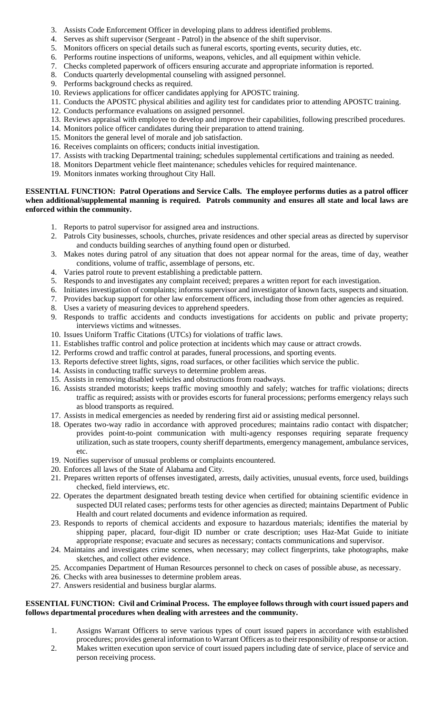- 3. Assists Code Enforcement Officer in developing plans to address identified problems.
- 4. Serves as shift supervisor (Sergeant Patrol) in the absence of the shift supervisor.
- 5. Monitors officers on special details such as funeral escorts, sporting events, security duties, etc.
- 6. Performs routine inspections of uniforms, weapons, vehicles, and all equipment within vehicle.
- 7. Checks completed paperwork of officers ensuring accurate and appropriate information is reported.
- 8. Conducts quarterly developmental counseling with assigned personnel.
- 9. Performs background checks as required.
- 10. Reviews applications for officer candidates applying for APOSTC training.
- 11. Conducts the APOSTC physical abilities and agility test for candidates prior to attending APOSTC training.
- 12. Conducts performance evaluations on assigned personnel.
- 13. Reviews appraisal with employee to develop and improve their capabilities, following prescribed procedures.
- 14. Monitors police officer candidates during their preparation to attend training.
- 15. Monitors the general level of morale and job satisfaction.
- 16. Receives complaints on officers; conducts initial investigation.
- 17. Assists with tracking Departmental training; schedules supplemental certifications and training as needed.
- 18. Monitors Department vehicle fleet maintenance; schedules vehicles for required maintenance.
- 19. Monitors inmates working throughout City Hall.

## **ESSENTIAL FUNCTION: Patrol Operations and Service Calls. The employee performs duties as a patrol officer when additional/supplemental manning is required. Patrols community and ensures all state and local laws are enforced within the community.**

- 1. Reports to patrol supervisor for assigned area and instructions.
- 2. Patrols City businesses, schools, churches, private residences and other special areas as directed by supervisor and conducts building searches of anything found open or disturbed.
- 3. Makes notes during patrol of any situation that does not appear normal for the areas, time of day, weather conditions, volume of traffic, assemblage of persons, etc.
- 4. Varies patrol route to prevent establishing a predictable pattern.
- 5. Responds to and investigates any complaint received; prepares a written report for each investigation.
- 6. Initiates investigation of complaints; informs supervisor and investigator of known facts, suspects and situation.
- 7. Provides backup support for other law enforcement officers, including those from other agencies as required.
- 8. Uses a variety of measuring devices to apprehend speeders.
- 9. Responds to traffic accidents and conducts investigations for accidents on public and private property; interviews victims and witnesses.
- 10. Issues Uniform Traffic Citations (UTCs) for violations of traffic laws.
- 11. Establishes traffic control and police protection at incidents which may cause or attract crowds.
- 12. Performs crowd and traffic control at parades, funeral processions, and sporting events.
- 13. Reports defective street lights, signs, road surfaces, or other facilities which service the public.
- 14. Assists in conducting traffic surveys to determine problem areas.
- 15. Assists in removing disabled vehicles and obstructions from roadways.
- 16. Assists stranded motorists; keeps traffic moving smoothly and safely; watches for traffic violations; directs traffic as required; assists with or provides escorts for funeral processions; performs emergency relays such as blood transports as required.
- 17. Assists in medical emergencies as needed by rendering first aid or assisting medical personnel.
- 18. Operates two-way radio in accordance with approved procedures; maintains radio contact with dispatcher; provides point-to-point communication with multi-agency responses requiring separate frequency utilization, such as state troopers, county sheriff departments, emergency management, ambulance services, etc.
- 19. Notifies supervisor of unusual problems or complaints encountered.
- 20. Enforces all laws of the State of Alabama and City.
- 21. Prepares written reports of offenses investigated, arrests, daily activities, unusual events, force used, buildings checked, field interviews, etc.
- 22. Operates the department designated breath testing device when certified for obtaining scientific evidence in suspected DUI related cases; performs tests for other agencies as directed; maintains Department of Public Health and court related documents and evidence information as required.
- 23. Responds to reports of chemical accidents and exposure to hazardous materials; identifies the material by shipping paper, placard, four-digit ID number or crate description; uses Haz-Mat Guide to initiate appropriate response; evacuate and secures as necessary; contacts communications and supervisor.
- 24. Maintains and investigates crime scenes, when necessary; may collect fingerprints, take photographs, make sketches, and collect other evidence.
- 25. Accompanies Department of Human Resources personnel to check on cases of possible abuse, as necessary.
- 26. Checks with area businesses to determine problem areas.
- 27. Answers residential and business burglar alarms.

# **ESSENTIAL FUNCTION: Civil and Criminal Process. The employee follows through with court issued papers and follows departmental procedures when dealing with arrestees and the community.**

- 1. Assigns Warrant Officers to serve various types of court issued papers in accordance with established procedures; provides general information to Warrant Officers as to their responsibility of response or action.
- 2. Makes written execution upon service of court issued papers including date of service, place of service and person receiving process.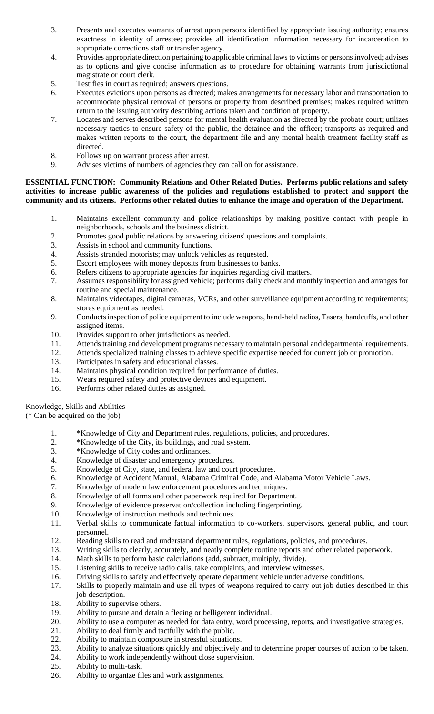- 3. Presents and executes warrants of arrest upon persons identified by appropriate issuing authority; ensures exactness in identity of arrestee; provides all identification information necessary for incarceration to appropriate corrections staff or transfer agency.
- 4. Provides appropriate direction pertaining to applicable criminal laws to victims or persons involved; advises as to options and give concise information as to procedure for obtaining warrants from jurisdictional magistrate or court clerk.
- 5. Testifies in court as required; answers questions.
- 6. Executes evictions upon persons as directed; makes arrangements for necessary labor and transportation to accommodate physical removal of persons or property from described premises; makes required written return to the issuing authority describing actions taken and condition of property.
- 7. Locates and serves described persons for mental health evaluation as directed by the probate court; utilizes necessary tactics to ensure safety of the public, the detainee and the officer; transports as required and makes written reports to the court, the department file and any mental health treatment facility staff as directed.
- 8. Follows up on warrant process after arrest.
- 9. Advises victims of numbers of agencies they can call on for assistance.

## **ESSENTIAL FUNCTION: Community Relations and Other Related Duties. Performs public relations and safety activities to increase public awareness of the policies and regulations established to protect and support the community and its citizens. Performs other related duties to enhance the image and operation of the Department.**

- 1. Maintains excellent community and police relationships by making positive contact with people in neighborhoods, schools and the business district.
- 2. Promotes good public relations by answering citizens' questions and complaints.
- 3. Assists in school and community functions.
- 4. Assists stranded motorists; may unlock vehicles as requested.
- 5. Escort employees with money deposits from businesses to banks.
- 6. Refers citizens to appropriate agencies for inquiries regarding civil matters.
- 7. Assumes responsibility for assigned vehicle; performs daily check and monthly inspection and arranges for routine and special maintenance.
- 8. Maintains videotapes, digital cameras, VCRs, and other surveillance equipment according to requirements; stores equipment as needed.
- 9. Conducts inspection of police equipment to include weapons, hand-held radios, Tasers, handcuffs, and other assigned items.
- 10. Provides support to other jurisdictions as needed.
- 11. Attends training and development programs necessary to maintain personal and departmental requirements.
- 12. Attends specialized training classes to achieve specific expertise needed for current job or promotion.
- 13. Participates in safety and educational classes.
- 14. Maintains physical condition required for performance of duties.
- 15. Wears required safety and protective devices and equipment.
- 16. Performs other related duties as assigned.

# Knowledge, Skills and Abilities

(\* Can be acquired on the job)

- 1. \*Knowledge of City and Department rules, regulations, policies, and procedures.
- 2. \*Knowledge of the City, its buildings, and road system.<br>3. \*Knowledge of City codes and ordinances.
- 3. \*Knowledge of City codes and ordinances.
- 4. Knowledge of disaster and emergency procedures.<br>5. Knowledge of City, state, and federal law and cour
- Knowledge of City, state, and federal law and court procedures.
- 6. Knowledge of Accident Manual, Alabama Criminal Code, and Alabama Motor Vehicle Laws.
- 7. Knowledge of modern law enforcement procedures and techniques.
- 8. Knowledge of all forms and other paperwork required for Department.
- 9. Knowledge of evidence preservation/collection including fingerprinting.
- 10. Knowledge of instruction methods and techniques.
- 11. Verbal skills to communicate factual information to co-workers, supervisors, general public, and court personnel.
- 12. Reading skills to read and understand department rules, regulations, policies, and procedures.
- 13. Writing skills to clearly, accurately, and neatly complete routine reports and other related paperwork.
- 14. Math skills to perform basic calculations (add, subtract, multiply, divide).
- 15. Listening skills to receive radio calls, take complaints, and interview witnesses.
- 16. Driving skills to safely and effectively operate department vehicle under adverse conditions.
- 17. Skills to properly maintain and use all types of weapons required to carry out job duties described in this job description.
- 18. Ability to supervise others.
- 19. Ability to pursue and detain a fleeing or belligerent individual.
- 20. Ability to use a computer as needed for data entry, word processing, reports, and investigative strategies.
- 21. Ability to deal firmly and tactfully with the public.
- 22. Ability to maintain composure in stressful situations.<br>23. Ability to analyze situations quickly and objectively a
- Ability to analyze situations quickly and objectively and to determine proper courses of action to be taken.
- 24. Ability to work independently without close supervision.
- 25. Ability to multi-task.
- 26. Ability to organize files and work assignments.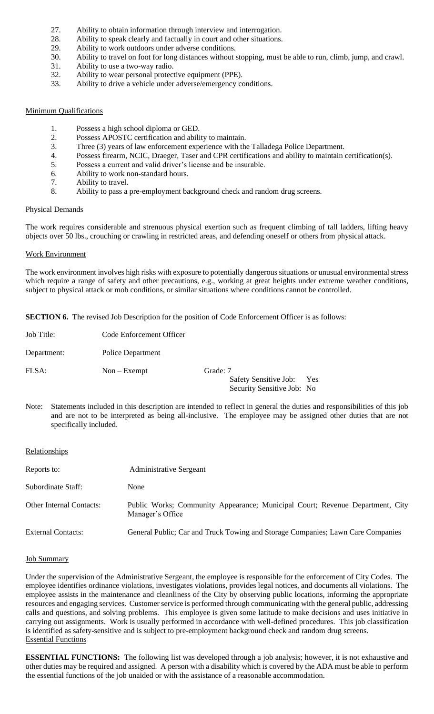- 27. Ability to obtain information through interview and interrogation.
- 28. Ability to speak clearly and factually in court and other situations.<br>29. Ability to work outdoors under adverse conditions.
- Ability to work outdoors under adverse conditions.
- 30. Ability to travel on foot for long distances without stopping, must be able to run, climb, jump, and crawl.
- 31. Ability to use a two-way radio.
- 32. Ability to wear personal protective equipment (PPE).
- 33. Ability to drive a vehicle under adverse/emergency conditions.

## Minimum Qualifications

- 1. Possess a high school diploma or GED.
- 2. Possess APOSTC certification and ability to maintain.
- 3. Three (3) years of law enforcement experience with the Talladega Police Department.
- 4. Possess firearm, NCIC, Draeger, Taser and CPR certifications and ability to maintain certification(s).
- 5. Possess a current and valid driver's license and be insurable.
- 6. Ability to work non-standard hours.
- 7. Ability to travel.<br>8. Ability to pass a
- Ability to pass a pre-employment background check and random drug screens.

#### Physical Demands

The work requires considerable and strenuous physical exertion such as frequent climbing of tall ladders, lifting heavy objects over 50 lbs., crouching or crawling in restricted areas, and defending oneself or others from physical attack.

## Work Environment

The work environment involves high risks with exposure to potentially dangerous situations or unusual environmental stress which require a range of safety and other precautions, e.g., working at great heights under extreme weather conditions, subject to physical attack or mob conditions, or similar situations where conditions cannot be controlled.

**SECTION 6.** The revised Job Description for the position of Code Enforcement Officer is as follows:

| Job Title:  | Code Enforcement Officer |          |                                                         |  |
|-------------|--------------------------|----------|---------------------------------------------------------|--|
| Department: | <b>Police Department</b> |          |                                                         |  |
| FLSA:       | $Non - Exempt$           | Grade: 7 | Safety Sensitive Job: Yes<br>Security Sensitive Job: No |  |

Note: Statements included in this description are intended to reflect in general the duties and responsibilities of this job and are not to be interpreted as being all-inclusive. The employee may be assigned other duties that are not specifically included.

## **Relationships**

| Reports to:                     | <b>Administrative Sergeant</b>                                                                    |
|---------------------------------|---------------------------------------------------------------------------------------------------|
| Subordinate Staff:              | None                                                                                              |
| <b>Other Internal Contacts:</b> | Public Works; Community Appearance; Municipal Court; Revenue Department, City<br>Manager's Office |
| <b>External Contacts:</b>       | General Public; Car and Truck Towing and Storage Companies; Lawn Care Companies                   |

#### Job Summary

Under the supervision of the Administrative Sergeant, the employee is responsible for the enforcement of City Codes. The employee identifies ordinance violations, investigates violations, provides legal notices, and documents all violations. The employee assists in the maintenance and cleanliness of the City by observing public locations, informing the appropriate resources and engaging services. Customer service is performed through communicating with the general public, addressing calls and questions, and solving problems. This employee is given some latitude to make decisions and uses initiative in carrying out assignments. Work is usually performed in accordance with well-defined procedures. This job classification is identified as safety-sensitive and is subject to pre-employment background check and random drug screens. Essential Functions

**ESSENTIAL FUNCTIONS:** The following list was developed through a job analysis; however, it is not exhaustive and other duties may be required and assigned. A person with a disability which is covered by the ADA must be able to perform the essential functions of the job unaided or with the assistance of a reasonable accommodation.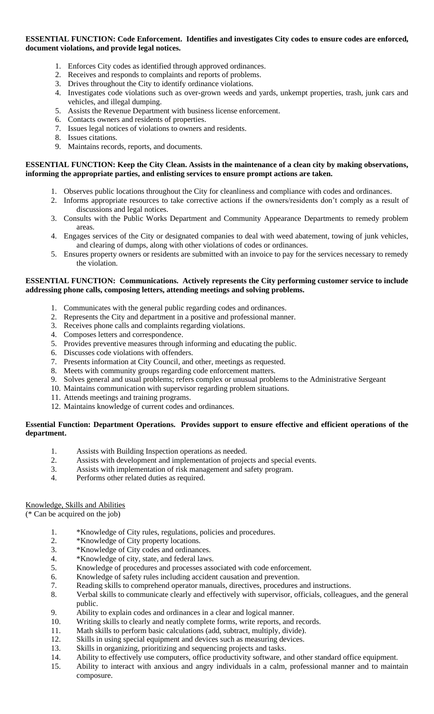## **ESSENTIAL FUNCTION: Code Enforcement. Identifies and investigates City codes to ensure codes are enforced, document violations, and provide legal notices.**

- 1. Enforces City codes as identified through approved ordinances.
- 2. Receives and responds to complaints and reports of problems.
- 3. Drives throughout the City to identify ordinance violations.
- 4. Investigates code violations such as over-grown weeds and yards, unkempt properties, trash, junk cars and vehicles, and illegal dumping.
- 5. Assists the Revenue Department with business license enforcement.
- 6. Contacts owners and residents of properties.
- 7. Issues legal notices of violations to owners and residents.
- 8. Issues citations.
- 9. Maintains records, reports, and documents.

## **ESSENTIAL FUNCTION: Keep the City Clean. Assists in the maintenance of a clean city by making observations, informing the appropriate parties, and enlisting services to ensure prompt actions are taken.**

- 1. Observes public locations throughout the City for cleanliness and compliance with codes and ordinances.
- 2. Informs appropriate resources to take corrective actions if the owners/residents don't comply as a result of discussions and legal notices.
- 3. Consults with the Public Works Department and Community Appearance Departments to remedy problem areas.
- 4. Engages services of the City or designated companies to deal with weed abatement, towing of junk vehicles, and clearing of dumps, along with other violations of codes or ordinances.
- 5. Ensures property owners or residents are submitted with an invoice to pay for the services necessary to remedy the violation.

# **ESSENTIAL FUNCTION: Communications. Actively represents the City performing customer service to include addressing phone calls, composing letters, attending meetings and solving problems.**

- 1. Communicates with the general public regarding codes and ordinances.
- 2. Represents the City and department in a positive and professional manner.
- 3. Receives phone calls and complaints regarding violations.
- 4. Composes letters and correspondence.
- 5. Provides preventive measures through informing and educating the public.
- 6. Discusses code violations with offenders.
- 7. Presents information at City Council, and other, meetings as requested.
- 8. Meets with community groups regarding code enforcement matters.
- 9. Solves general and usual problems; refers complex or unusual problems to the Administrative Sergeant
- 10. Maintains communication with supervisor regarding problem situations.
- 11. Attends meetings and training programs.
- 12. Maintains knowledge of current codes and ordinances.

# **Essential Function: Department Operations. Provides support to ensure effective and efficient operations of the department.**

- 1. Assists with Building Inspection operations as needed.
- 2. Assists with development and implementation of projects and special events.
- 3. Assists with implementation of risk management and safety program.
- 4. Performs other related duties as required.

# Knowledge, Skills and Abilities

(\* Can be acquired on the job)

- 1. \*Knowledge of City rules, regulations, policies and procedures.
- 2. \*Knowledge of City property locations.
- 3. \*Knowledge of City codes and ordinances.
- 4. \*Knowledge of city, state, and federal laws.
- 5. Knowledge of procedures and processes associated with code enforcement.
- 6. Knowledge of safety rules including accident causation and prevention.
- 7. Reading skills to comprehend operator manuals, directives, procedures and instructions.
- 8. Verbal skills to communicate clearly and effectively with supervisor, officials, colleagues, and the general public.
- 9. Ability to explain codes and ordinances in a clear and logical manner.
- 10. Writing skills to clearly and neatly complete forms, write reports, and records.
- 11. Math skills to perform basic calculations (add, subtract, multiply, divide).
- 12. Skills in using special equipment and devices such as measuring devices.<br>13. Skills in organizing, prioritizing and sequencing projects and tasks.
- Skills in organizing, prioritizing and sequencing projects and tasks.
- 14. Ability to effectively use computers, office productivity software, and other standard office equipment.
- 15. Ability to interact with anxious and angry individuals in a calm, professional manner and to maintain composure.